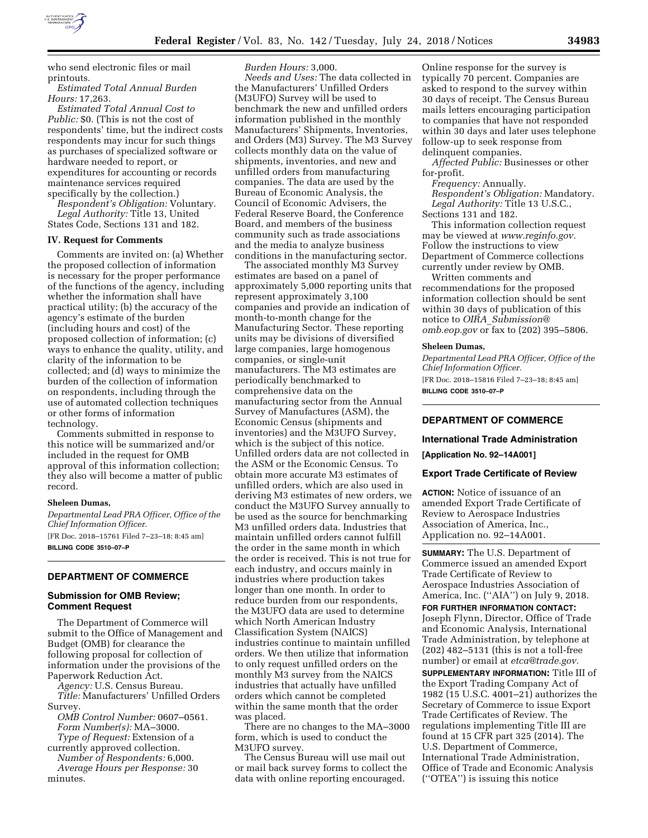

who send electronic files or mail printouts.

*Estimated Total Annual Burden Hours:* 17,263.

*Estimated Total Annual Cost to Public:* \$0. (This is not the cost of respondents' time, but the indirect costs respondents may incur for such things as purchases of specialized software or hardware needed to report, or expenditures for accounting or records maintenance services required specifically by the collection.)

*Respondent's Obligation:* Voluntary. *Legal Authority:* Title 13, United States Code, Sections 131 and 182.

#### **IV. Request for Comments**

Comments are invited on: (a) Whether the proposed collection of information is necessary for the proper performance of the functions of the agency, including whether the information shall have practical utility; (b) the accuracy of the agency's estimate of the burden (including hours and cost) of the proposed collection of information; (c) ways to enhance the quality, utility, and clarity of the information to be collected; and (d) ways to minimize the burden of the collection of information on respondents, including through the use of automated collection techniques or other forms of information technology.

Comments submitted in response to this notice will be summarized and/or included in the request for OMB approval of this information collection; they also will become a matter of public record.

### **Sheleen Dumas,**

*Departmental Lead PRA Officer, Office of the Chief Information Officer.* 

[FR Doc. 2018–15761 Filed 7–23–18; 8:45 am] **BILLING CODE 3510–07–P** 

# **DEPARTMENT OF COMMERCE**

### **Submission for OMB Review; Comment Request**

The Department of Commerce will submit to the Office of Management and Budget (OMB) for clearance the following proposal for collection of information under the provisions of the Paperwork Reduction Act.

*Agency:* U.S. Census Bureau. *Title:* Manufacturers' Unfilled Orders

Survey. *OMB Control Number:* 0607–0561. *Form Number(s):* MA–3000. *Type of Request:* Extension of a

currently approved collection. *Number of Respondents:* 6,000.

*Average Hours per Response:* 30 minutes.

*Burden Hours:* 3,000.

*Needs and Uses:* The data collected in the Manufacturers' Unfilled Orders (M3UFO) Survey will be used to benchmark the new and unfilled orders information published in the monthly Manufacturers' Shipments, Inventories, and Orders (M3) Survey. The M3 Survey collects monthly data on the value of shipments, inventories, and new and unfilled orders from manufacturing companies. The data are used by the Bureau of Economic Analysis, the Council of Economic Advisers, the Federal Reserve Board, the Conference Board, and members of the business community such as trade associations and the media to analyze business conditions in the manufacturing sector.

The associated monthly M3 Survey estimates are based on a panel of approximately 5,000 reporting units that represent approximately 3,100 companies and provide an indication of month-to-month change for the Manufacturing Sector. These reporting units may be divisions of diversified large companies, large homogenous companies, or single-unit manufacturers. The M3 estimates are periodically benchmarked to comprehensive data on the manufacturing sector from the Annual Survey of Manufactures (ASM), the Economic Census (shipments and inventories) and the M3UFO Survey, which is the subject of this notice. Unfilled orders data are not collected in the ASM or the Economic Census. To obtain more accurate M3 estimates of unfilled orders, which are also used in deriving M3 estimates of new orders, we conduct the M3UFO Survey annually to be used as the source for benchmarking M3 unfilled orders data. Industries that maintain unfilled orders cannot fulfill the order in the same month in which the order is received. This is not true for each industry, and occurs mainly in industries where production takes longer than one month. In order to reduce burden from our respondents, the M3UFO data are used to determine which North American Industry Classification System (NAICS) industries continue to maintain unfilled orders. We then utilize that information to only request unfilled orders on the monthly M3 survey from the NAICS industries that actually have unfilled orders which cannot be completed within the same month that the order was placed.

There are no changes to the MA–3000 form, which is used to conduct the M3UFO survey.

The Census Bureau will use mail out or mail back survey forms to collect the data with online reporting encouraged.

Online response for the survey is typically 70 percent. Companies are asked to respond to the survey within 30 days of receipt. The Census Bureau mails letters encouraging participation to companies that have not responded within 30 days and later uses telephone follow-up to seek response from delinquent companies.

*Affected Public:* Businesses or other for-profit.

*Frequency:* Annually.

*Respondent's Obligation:* Mandatory. *Legal Authority:* Title 13 U.S.C., Sections 131 and 182.

This information collection request may be viewed at *[www.reginfo.gov.](http://www.reginfo.gov)*  Follow the instructions to view Department of Commerce collections currently under review by OMB.

Written comments and recommendations for the proposed information collection should be sent within 30 days of publication of this notice to *OIRA*\_*[Submission@](mailto:OIRA_Submission@omb.eop.gov) [omb.eop.gov](mailto:OIRA_Submission@omb.eop.gov)* or fax to (202) 395–5806.

#### **Sheleen Dumas,**

*Departmental Lead PRA Officer, Office of the Chief Information Officer.*  [FR Doc. 2018–15816 Filed 7–23–18; 8:45 am] **BILLING CODE 3510–07–P** 

# **DEPARTMENT OF COMMERCE**

### **International Trade Administration**

**[Application No. 92–14A001]** 

#### **Export Trade Certificate of Review**

**ACTION:** Notice of issuance of an amended Export Trade Certificate of Review to Aerospace Industries Association of America, Inc., Application no. 92–14A001.

**SUMMARY:** The U.S. Department of Commerce issued an amended Export Trade Certificate of Review to Aerospace Industries Association of America, Inc. (''AIA'') on July 9, 2018.

**FOR FURTHER INFORMATION CONTACT:**  Joseph Flynn, Director, Office of Trade and Economic Analysis, International Trade Administration, by telephone at (202) 482–5131 (this is not a toll-free number) or email at *[etca@trade.gov.](mailto:etca@trade.gov)* 

**SUPPLEMENTARY INFORMATION:** Title III of the Export Trading Company Act of 1982 (15 U.S.C. 4001–21) authorizes the Secretary of Commerce to issue Export Trade Certificates of Review. The regulations implementing Title III are found at 15 CFR part 325 (2014). The U.S. Department of Commerce, International Trade Administration, Office of Trade and Economic Analysis (''OTEA'') is issuing this notice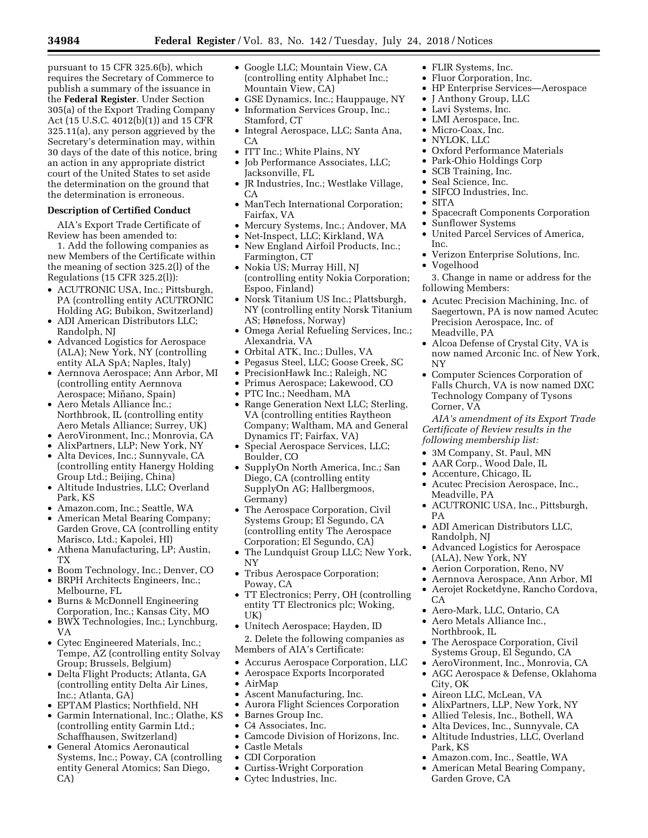pursuant to 15 CFR 325.6(b), which requires the Secretary of Commerce to publish a summary of the issuance in the **Federal Register**. Under Section 305(a) of the Export Trading Company Act (15 U.S.C. 4012(b)(1)) and 15 CFR 325.11(a), any person aggrieved by the Secretary's determination may, within 30 days of the date of this notice, bring an action in any appropriate district court of the United States to set aside the determination on the ground that the determination is erroneous.

# **Description of Certified Conduct**

AIA's Export Trade Certificate of Review has been amended to:

1. Add the following companies as new Members of the Certificate within the meaning of section 325.2(l) of the Regulations (15 CFR 325.2(l)):

- ACUTRONIC USA, Inc.; Pittsburgh, PA (controlling entity ACUTRONIC Holding AG; Bubikon, Switzerland)
- ADI American Distributors LLC; Randolph, NJ
- Advanced Logistics for Aerospace (ALA); New York, NY (controlling entity ALA SpA; Naples, Italy)
- Aernnova Aerospace; Ann Arbor, MI (controlling entity Aernnova Aerospace; Miñano, Spain)
- Aero Metals Alliance Inc.; Northbrook, IL (controlling entity Aero Metals Alliance; Surrey, UK)
- AeroVironment, Inc.; Monrovia, CA
- AlixPartners, LLP; New York, NY
- Alta Devices, Inc.; Sunnyvale, CA (controlling entity Hanergy Holding Group Ltd.; Beijing, China)
- Altitude Industries, LLC; Overland Park, KS
- Amazon.com, Inc.; Seattle, WA
- American Metal Bearing Company; Garden Grove, CA (controlling entity Marisco, Ltd.; Kapolei, HI)
- Athena Manufacturing, LP; Austin, TX
- Boom Technology, Inc.; Denver, CO • BRPH Architects Engineers, Inc.; Melbourne, FL
- Burns & McDonnell Engineering Corporation, Inc.; Kansas City, MO
- BWX Technologies, Inc.; Lynchburg, VA
- Cytec Engineered Materials, Inc.; Tempe, AZ (controlling entity Solvay Group; Brussels, Belgium)
- Delta Flight Products; Atlanta, GA (controlling entity Delta Air Lines, Inc.; Atlanta, GA)
- EPTAM Plastics; Northfield, NH
- Garmin International, Inc.; Olathe, KS (controlling entity Garmin Ltd.; Schaffhausen, Switzerland)
- General Atomics Aeronautical Systems, Inc.; Poway, CA (controlling entity General Atomics; San Diego, CA)
- Google LLC; Mountain View, CA (controlling entity Alphabet Inc.; Mountain View, CA)
- GSE Dynamics, Inc.; Hauppauge, NY • Information Services Group, Inc.; Stamford, CT
- Integral Aerospace, LLC; Santa Ana, CA
- ITT Inc.; White Plains, NY
- Job Performance Associates, LLC; Jacksonville, FL
- JR Industries, Inc.; Westlake Village, CA
- ManTech International Corporation; Fairfax, VA
- Mercury Systems, Inc.; Andover, MA
- Net-Inspect, LLC; Kirkland, WA
- New England Airfoil Products, Inc.; Farmington, CT
- Nokia US; Murray Hill, NJ (controlling entity Nokia Corporation; Espoo, Finland)
- Norsk Titanium US Inc.; Plattsburgh, NY (controlling entity Norsk Titanium AS; Hønefoss, Norway)
- Omega Aerial Refueling Services, Inc.; Alexandria, VA
- Orbital ATK, Inc.; Dulles, VA
- Pegasus Steel, LLC; Goose Creek, SC
- PrecisionHawk Inc.; Raleigh, NC
- Primus Aerospace; Lakewood, CO
- PTC Inc.; Needham, MA
- Range Generation Next LLC; Sterling, VA (controlling entities Raytheon Company; Waltham, MA and General Dynamics IT; Fairfax, VA)
- Special Aerospace Services, LLC; Boulder, CO
- SupplyOn North America, Inc.; San Diego, CA (controlling entity SupplyOn AG; Hallbergmoos, Germany)
- The Aerospace Corporation, Civil Systems Group; El Segundo, CA (controlling entity The Aerospace Corporation; El Segundo, CA)
- The Lundquist Group LLC; New York, NY
- Tribus Aerospace Corporation; Poway, CA
- TT Electronics; Perry, OH (controlling entity TT Electronics plc; Woking, UK)
- Unitech Aerospace; Hayden, ID 2. Delete the following companies as Members of AIA's Certificate:
- Accurus Aerospace Corporation, LLC
- Aerospace Exports Incorporated
- AirMap
- Ascent Manufacturing, Inc.
- Aurora Flight Sciences Corporation
- Barnes Group Inc.
- C4 Associates, Inc.
- Camcode Division of Horizons, Inc.
- Castle Metals
- CDI Corporation
- Curtiss-Wright Corporation
- Cytec Industries, Inc.
- FLIR Systems, Inc.
- Fluor Corporation, Inc.
- HP Enterprise Services—Aerospace
- J Anthony Group, LLC
- Lavi Systems, Inc.
- LMI Aerospace, Inc.
- Micro-Coax, Inc.
- NYLOK, LLC
- Oxford Performance Materials
- Park-Ohio Holdings Corp
- SCB Training, Inc.
- Seal Science, Inc.
- SIFCO Industries, Inc.
- SITA
- Spacecraft Components Corporation
- Sunflower Systems
- United Parcel Services of America, Inc.
- Verizon Enterprise Solutions, Inc.
- Vogelhood

3. Change in name or address for the following Members:

- Acutec Precision Machining, Inc. of Saegertown, PA is now named Acutec Precision Aerospace, Inc. of Meadville, PA
- Alcoa Defense of Crystal City, VA is now named Arconic Inc. of New York, NY
- Computer Sciences Corporation of Falls Church, VA is now named DXC Technology Company of Tysons Corner, VA

*AIA's amendment of its Export Trade Certificate of Review results in the following membership list:* 

- 3M Company, St. Paul, MN
- AAR Corp., Wood Dale, IL
- Accenture, Chicago, IL
- Acutec Precision Aerospace, Inc., Meadville, PA
- ACUTRONIC USA, Inc., Pittsburgh, PA
- ADI American Distributors LLC, Randolph, NJ
- Advanced Logistics for Aerospace (ALA), New York, NY
- Aerion Corporation, Reno, NV
- Aernnova Aerospace, Ann Arbor, MI
- Aerojet Rocketdyne, Rancho Cordova, CA

The Aerospace Corporation, Civil Systems Group, El Segundo, CA • AeroVironment, Inc., Monrovia, CA • AGC Aerospace & Defense, Oklahoma

• AlixPartners, LLP, New York, NY • Allied Telesis, Inc., Bothell, WA • Alta Devices, Inc., Sunnyvale, CA • Altitude Industries, LLC, Overland

• Amazon.com, Inc., Seattle, WA • American Metal Bearing Company,

- Aero-Mark, LLC, Ontario, CA
- Aero Metals Alliance Inc.,

• Aireon LLC, McLean, VA

Northbrook, IL

City, OK

Park, KS

Garden Grove, CA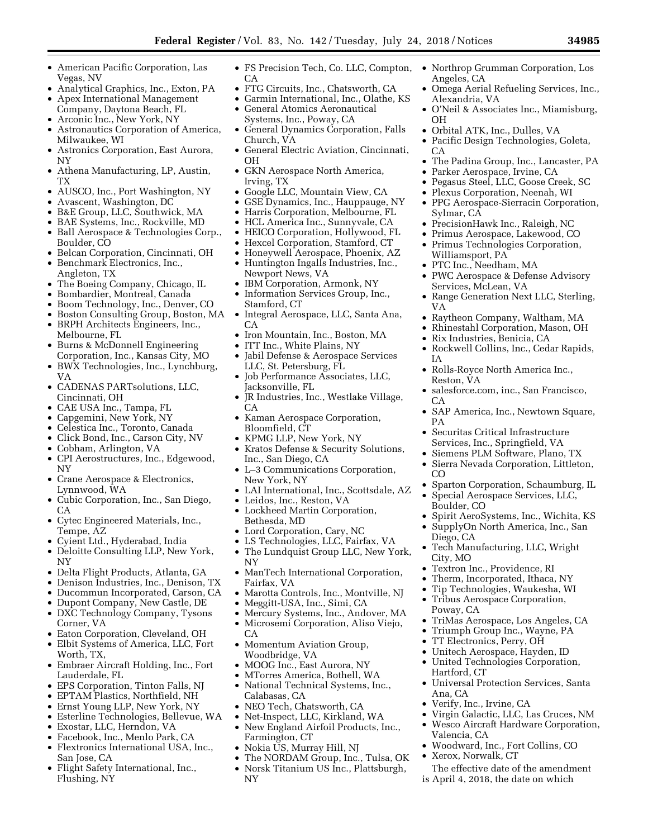- American Pacific Corporation, Las Vegas, NV
- Analytical Graphics, Inc., Exton, PA
- Apex International Management
- Company, Daytona Beach, FL • Arconic Inc., New York, NY
- Astronautics Corporation of America,
- Milwaukee, WI
- Astronics Corporation, East Aurora, NY
- Athena Manufacturing, LP, Austin, TX
- AUSCO, Inc., Port Washington, NY
- Avascent, Washington, DC
- B&E Group, LLC, Southwick, MA
- BAE Systems, Inc., Rockville, MD
- Ball Aerospace & Technologies Corp., Boulder, CO
- Belcan Corporation, Cincinnati, OH
- Benchmark Electronics, Inc., Angleton, TX
- The Boeing Company, Chicago, IL
- Bombardier, Montreal, Canada
- Boom Technology, Inc., Denver, CO
- Boston Consulting Group, Boston, MA • BRPH Architects Engineers, Inc.,
- Melbourne, FL • Burns & McDonnell Engineering
- Corporation, Inc., Kansas City, MO • BWX Technologies, Inc., Lynchburg,
- VA
- CADENAS PARTsolutions, LLC, Cincinnati, OH
- CAE USA Inc., Tampa, FL
- Capgemini, New York, NY
- Celestica Inc., Toronto, Canada
- Click Bond, Inc., Carson City, NV
- Cobham, Arlington, VA
- CPI Aerostructures, Inc., Edgewood, NY
- Crane Aerospace & Electronics, Lynnwood, WA
- Cubic Corporation, Inc., San Diego, CA
- Cytec Engineered Materials, Inc., Tempe, AZ
- Cyient Ltd., Hyderabad, India
- Deloitte Consulting LLP, New York, NY
- Delta Flight Products, Atlanta, GA
- Denison Industries, Inc., Denison, TX
- Ducommun Incorporated, Carson, CA
- Dupont Company, New Castle, DE • DXC Technology Company, Tysons
- Corner, VA • Eaton Corporation, Cleveland, OH
- Elbit Systems of America, LLC, Fort
- Worth, TX,
- Embraer Aircraft Holding, Inc., Fort Lauderdale, FL
- EPS Corporation, Tinton Falls, NJ
- EPTAM Plastics, Northfield, NH
- Ernst Young LLP, New York, NY
- Esterline Technologies, Bellevue, WA
- Exostar, LLC, Herndon, VA • Facebook, Inc., Menlo Park, CA
- Flextronics International USA, Inc.,
- San Jose, CA
- Flight Safety International, Inc., Flushing, NY
- FS Precision Tech, Co. LLC, Compton, CA
- FTG Circuits, Inc., Chatsworth, CA
- Garmin International, Inc., Olathe, KS
- General Atomics Aeronautical Systems, Inc., Poway, CA
- General Dynamics Corporation, Falls Church, VA
- General Electric Aviation, Cincinnati, OH
- GKN Aerospace North America, Irving, TX
- Google LLC, Mountain View, CA
- GSE Dynamics, Inc., Hauppauge, NY
- Harris Corporation, Melbourne, FL
- HCL America Inc., Sunnyvale, CA
- HEICO Corporation, Hollywood, FL
- Hexcel Corporation, Stamford, CT
- Honeywell Aerospace, Phoenix, AZ
- Huntington Ingalls Industries, Inc., Newport News, VA
- IBM Corporation, Armonk, NY
- Information Services Group, Inc., Stamford, CT
- Integral Aerospace, LLC, Santa Ana, CA
- Iron Mountain, Inc., Boston, MA
- ITT Inc., White Plains, NY
- Jabil Defense & Aerospace Services LLC, St. Petersburg, FL
- Job Performance Associates, LLC, Jacksonville, FL
- JR Industries, Inc., Westlake Village, CA
- Kaman Aerospace Corporation, Bloomfield, CT
- KPMG LLP, New York, NY
- Kratos Defense & Security Solutions, Inc., San Diego, CA
- L–3 Communications Corporation, New York, NY
- LAI International, Inc., Scottsdale, AZ
- Leidos, Inc., Reston, VA
- Lockheed Martin Corporation, Bethesda, MD
- Lord Corporation, Cary, NC
- LS Technologies, LLC, Fairfax, VA • The Lundquist Group LLC, New York, NY
- ManTech International Corporation, Fairfax, VA
- Marotta Controls, Inc., Montville, NJ
- Meggitt-USA, Inc., Simi, CA
- Mercury Systems, Inc., Andover, MA
- Microsemi Corporation, Aliso Viejo, CA
- Momentum Aviation Group, Woodbridge, VA
- MOOG Inc., East Aurora, NY
- MTorres America, Bothell, WA • National Technical Systems, Inc.,
- Calabasas, CA
- NEO Tech, Chatsworth, CA
- Net-Inspect, LLC, Kirkland, WA • New England Airfoil Products, Inc., Farmington, CT
- Nokia US, Murray Hill, NJ
- The NORDAM Group, Inc., Tulsa, OK
- Norsk Titanium US Inc., Plattsburgh, NY
- Northrop Grumman Corporation, Los Angeles, CA
- Omega Aerial Refueling Services, Inc., Alexandria, VA
- O'Neil & Associates Inc., Miamisburg, OH • Orbital ATK, Inc., Dulles, VA

• Pacific Design Technologies, Goleta,

• Parker Aerospace, Irvine, CA • Pegasus Steel, LLC, Goose Creek, SC • Plexus Corporation, Neenah, WI • PPG Aerospace-Sierracin Corporation,

• PrecisionHawk Inc., Raleigh, NC • Primus Aerospace, Lakewood, CO • Primus Technologies Corporation,

• PWC Aerospace & Defense Advisory

• Range Generation Next LLC, Sterling,

• Raytheon Company, Waltham, MA • Rhinestahl Corporation, Mason, OH

• Rockwell Collins, Inc., Cedar Rapids,

• Rolls-Royce North America Inc.,

• Securitas Critical Infrastructure Services, Inc., Springfield, VA • Siemens PLM Software, Plano, TX • Sierra Nevada Corporation, Littleton,

• salesforce.com, inc., San Francisco,

• SAP America, Inc., Newtown Square,

• Sparton Corporation, Schaumburg, IL • Special Aerospace Services, LLC,

• Spirit AeroSystems, Inc., Wichita, KS • SupplyOn North America, Inc., San

• Tech Manufacturing, LLC, Wright

• TriMas Aerospace, Los Angeles, CA • Triumph Group Inc., Wayne, PA

• Universal Protection Services, Santa

• Virgin Galactic, LLC, Las Cruces, NM • Wesco Aircraft Hardware Corporation,

The effective date of the amendment is April 4, 2018, the date on which

• Woodward, Inc., Fort Collins, CO

• Textron Inc., Providence, RI • Therm, Incorporated, Ithaca, NY • Tip Technologies, Waukesha, WI • Tribus Aerospace Corporation,

• TT Electronics, Perry, OH • Unitech Aerospace, Hayden, ID • United Technologies Corporation,

• Verify, Inc., Irvine, CA

• The Padina Group, Inc., Lancaster, PA

CA

VA

IA

CA

PA

CO

Boulder, CO

Diego, CA

City, MO

Poway, CA

Hartford, CT

Valencia, CA

• Xerox, Norwalk, CT

Ana, CA

Reston, VA

Sylmar, CA

Williamsport, PA • PTC Inc., Needham, MA

Services, McLean, VA

• Rix Industries, Benicia, CA